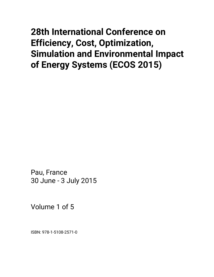# **28th International Conference on Efficiency, Cost, Optimization, Simulation and Environmental Impact of Energy Systems (ECOS 2015)**

Pau, France 30 June - 3 July 2015

Volume 1 of 5

ISBN: 978-1-5108-2571-0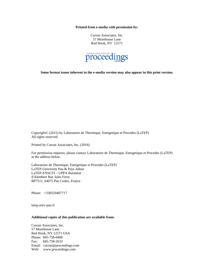**Printed from e-media with permission by:** 

Curran Associates, Inc. 57 Morehouse Lane Red Hook, NY 12571



**Some format issues inherent in the e-media version may also appear in this print version.** 

Copyright© (2015) by Laboratoire de Thermique, Energetique et Procedes (LaTEP) All rights reserved.

Printed by Curran Associates, Inc. (2016)

For permission requests, please contact Laboratoire de Thermique, Energetique et Procedes (LaTEP) at the address below.

Laboratoire de Thermique, Energetique et Procedes (LaTEP) LaTEP-University Pau & Pays Adour LaTEP-ENSGTI – UPPA Batiment d'Alembert Rue Jules Ferry BP7511, 64075 Pau Cedex, France

Phone: +330559407717

latep.univ-pau.fr

## **Additional copies of this publication are available from:**

Curran Associates, Inc. 57 Morehouse Lane Red Hook, NY 12571 USA Phone: 845-758-0400 Fax: 845-758-2633 Email: curran@proceedings.com Web: www.proceedings.com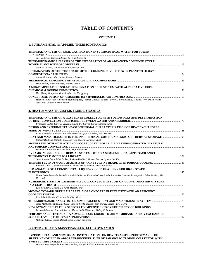# **TABLE OF CONTENTS**

#### **VOLUME 1**

#### **1. FUNDAMENTAL & APPLIED THERMODYNAMICS**

| THERMAL ANALYSIS OF COAL GASIFICATION IN SUPERCRITICAL WATER FOR POWER                                                                   |  |
|------------------------------------------------------------------------------------------------------------------------------------------|--|
| Zhewen Chen, Xiaosong Zhang, Lin Gao, Sheng Li                                                                                           |  |
| THERMODYNAMIC ANALYSIS OF THE INTEGRATION OF AN ADVANCED COMBINED CYCLE                                                                  |  |
|                                                                                                                                          |  |
| Janusz Kotowicz, Mateusz Brzeczek, Marcin Job                                                                                            |  |
| OPTIMIZATION OF THE STRUCTURE OF THE COMBINED CYCLE POWER PLANT WITH OXY-                                                                |  |
| Janusz Kotowicz, Marcin Job, Mateusz Brzeczek                                                                                            |  |
|                                                                                                                                          |  |
| Dean Millar, Valeria Pavese, Vittorio Verda                                                                                              |  |
| A MID-TEMPERATURE SOLAR HYBRIDIZATION CCHP SYSTEM WITH ALTERNATIVE FUEL                                                                  |  |
|                                                                                                                                          |  |
| Hao Zhang, Hong Hui, Gao Jianjian, Jin Hongguang                                                                                         |  |
|                                                                                                                                          |  |
| Stephen Young, Alex Hutchison, Sujit Sengupta, Thomas Clifford, Valeria Pavese, Catarina Noula, Maxine Myre, David Vitone,               |  |
| Jean-Paul Chiasson, Dean Millar                                                                                                          |  |
|                                                                                                                                          |  |
| 2. HEAT & MASS TRANSFER, FLUID DYNAMICS                                                                                                  |  |
| THERMAL ANALYSIS OF A FLAT PLATE COLLECTOR WITH SOLIDWORKS AND DETERMINATION                                                             |  |
|                                                                                                                                          |  |
| Evangelos Bellos, Christos Tzivanidis, Dimitris Korres, Kimon Antonopoulos                                                               |  |
| DESIGN AND EXPERIMENTAL-BASED THERMAL CHARACTERIZATION OF HEAT EXCHANGERS                                                                |  |
|                                                                                                                                          |  |
| Primož Poredoš, Andrej Kitanovski, Tomaž Šuklje, Ciril Arkar, Sašo Medved                                                                |  |
| HEAT AND MASS TRANSFER IN THERMOCHEMICAL COMPOUND USED FOR THERMAL STORAGE  98                                                           |  |
| Gabriel Boulnois, Nathalie Mazet, Sylvain Mauran, Erdanay Kurt                                                                           |  |
| MODELLING OF FLAT PLATE AND V-CORRUGATED SOLAR AIR HEATERS OPERATED IN NATURAL                                                           |  |
|                                                                                                                                          |  |
| Hicham El Ferouali, Said Doubabi, Naji Abdenouri                                                                                         |  |
| DYNAMIC MODELING OF THERMAL SYSTEMS USING A SEMI-EMPIRICAL APPROACH AND THE                                                              |  |
|                                                                                                                                          |  |
| Queralt Altés Buch, Rémi Dickes, Adriano Desideri, Vincent Lemort, Sylvain Quoilin                                                       |  |
|                                                                                                                                          |  |
| Roberta Masci, Giacomo Bonciolini, Flavio Emilio Bianchi, Alessio Bufalieri                                                              |  |
| CFD ANALYSIS OF A CONSTRUCTAL LIQUID-COOLED HEAT SINK FOR HIGH-POWER                                                                     |  |
|                                                                                                                                          |  |
| Ulises Gonzalez-Valle, Daniel Lorenzini-Gutierrez, Fernando Cano-Banda, Irepan Barbosa-Ayala, Alejandro Tello-Sanchez, Abel<br>Hernandez |  |
| NUMERICAL STUDY OF LAMINAR NATURAL CONVECTIVE FLOW OF A CONTAMINATED MIXTURE                                                             |  |
|                                                                                                                                          |  |
| Yassine Cherif, L Koufi, Z Younsi, Hassane Naji                                                                                          |  |
| MOVING TOWARD GREEN AIRCRAFT: MORE ONBOARD ELECTRICITY WITH AN EFFICIENT                                                                 |  |
|                                                                                                                                          |  |
| Eric Schall, Nicolas Chauchat, Mathieu Mory                                                                                              |  |

*Eric Schall, Nicolas Chauchat, Mathieu Mory*  **THERMODYNAMIC ANALYSIS FOR SIMULTANEOUS HEAT AND MASS TRANSFER SYSTEMS** ......................................179 *Jesus Martinez-Patiño, Luis Serra, Vittorio Verda, Martin Picon-Nuñez, Carlos Rubio-Maya*  **NEW DYNAMIC HEAT FLUX SENSORS TO IMPROVE ENERGY EFFICIENCY OF BUILDINGS**..........................................188 *Bertrand Garnier, Boussad Azerou, Ahmed Ould El Moctar, Abdeljalil Lahmar*  **PERFORMANCE TESTING OF A NOVEL 3-FLUID LIQUID-TO-AIR MEMBRANE ENERGY EXCHANGER (3-FLUID LAMEE) FOR HVAC APPLICATIONS**..................................................................................................................................197

*Mohamed Abdel-Salam, Robert Besant, Carey Simonson* 

#### **POSTER 2. HEAT & MASS TRANSFER, FLUID DYNAMICS**

**EXPERIMENTAL AND NUMERICAL INVESTIGATIONS ON HEAT TRANSFER PERFORMANCE OF SILVER NANOFLUID IN ABSORBER/RECEIVER TUBE OF PARABOLIC TROUGH COLLECTOR WITH TWISTED TAPE INSERTS** .........................................................................................................................................................................207

*Dnyaneshwar Waghole, Ravi Warkhedkar, Vinayak Kulkarni, Ramakant Shrivastva*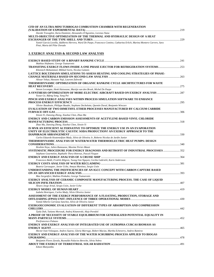| CFD OF AN ULTRA-MINI TURBOGAS COMBUSTION CHAMBER WITH REGENERATION                                                                                          |  |
|-------------------------------------------------------------------------------------------------------------------------------------------------------------|--|
|                                                                                                                                                             |  |
| Davide Travaglini, Ilaria Dominizi, Alessandro D'Agostino, Lorenzo Nana                                                                                     |  |
| MULTI-OBJECTIVE OPTIMIZATION OF THE THERMAL AND HYDRAULIC DESIGN OF A HEAT                                                                                  |  |
|                                                                                                                                                             |  |
| Yaniel Garcia Lovella, Idalberto Herrera, Ward De Paepe, Francesco Contino, Catharina Erlich, Marina Montero Carrero, Sara<br>Pinzi, Maria del Pilar Dorado |  |
|                                                                                                                                                             |  |
|                                                                                                                                                             |  |
| 3. EXERGY ANALYSIS & SECOND LAW ANALYSIS                                                                                                                    |  |
|                                                                                                                                                             |  |
|                                                                                                                                                             |  |
| Mathias Hofmann, George Tsatsaronis                                                                                                                         |  |
| TRANSITING EXERGY FLOWS INSIDE A ONE PHASE EJECTOR FOR REFRIGERATION SYSTEMS253                                                                             |  |
| Khennich Mohammed, Mikhail Sorin, Nicolas Galanis                                                                                                           |  |
| LATTICE BOLTZMANN SIMULATIONS TO ASSESS HEATING AND COOLING STRATEGIES OF PHASE-                                                                            |  |
| Alissar Yehya, Hassane Naji, Laurent Zalewski                                                                                                               |  |
| THERMODYNAMIC OPTIMIZATION OF ORGANIC RANKINE CYCLE ARCHITECTURES FOR WASTE                                                                                 |  |
|                                                                                                                                                             |  |
| Steven Lecompte, Henk Huisseune, Martijn van den Broek, Michel De Paepe                                                                                     |  |
| A SYNTHESIS OPTIMIZATION OF MORE-ELECTRIC AIRCRAFT BASED ON EXERGY ANALYSIS 287                                                                             |  |
| Yuxue Ge, Bifeng Song, Yang Pei                                                                                                                             |  |
| PINCH AND EXERGY ANALYSES WITHIN PROCESS SIMULATION SOFTWARE TO ENHANCE                                                                                     |  |
|                                                                                                                                                             |  |
| Olivier Baudouin, Philippe Baudet, Stephane Dechelotte, Quentin Duval, Benjamin Wincure                                                                     |  |
| EVALUATION OF TWO DIMETHYL ETHER PROCESSES MANUFACTURED BY CALCIUM CARBIDE                                                                                  |  |
| Xinxin Yi, Danxing Zheng, Xiaohui Chen, Zhao Ma                                                                                                             |  |
| ENERGY AND CARBON EMISSION ASSESSMENTS OF ACETYLENE-BASED VINYL CHLORIDE                                                                                    |  |
|                                                                                                                                                             |  |
| Zhao Ma, Danxing Zheng, Xiaohui Chen, Xinxin Yi                                                                                                             |  |
| IS MVR AN EFFICIENT ALTERNATIVE TO OPTIMIZE THE ENERGY USE IN AN EVAPORATION                                                                                |  |
| UNITY OF ELECTROLYTIC CAUSTIC SODA PRODUCTION? AN EXERGY APPROACH TO THE                                                                                    |  |
|                                                                                                                                                             |  |
| Carlos Eduardo Keutenedjian Mady, Silvio de Oliveira Jr, Roberto Nicolas de Jardin Junior                                                                   |  |
| THERMODYNAMIC ANALYSIS OF WATER/WATER THERMOELECTRIC HEAT PUMPS: DESIGN                                                                                     |  |
|                                                                                                                                                             |  |
| Ibrahim Neya, Julien Ramousse, Maxime Perier-Muzet                                                                                                          |  |
| SYSTEMATIC PROCEDURE FOR ENERGY DIAGNOSIS AND RETROFIT OF INDUSTRIAL PROCESSES 352                                                                          |  |
| Stéphane Gourmelon, Raphaële Thery-Hetreux, Pascal Floquet                                                                                                  |  |
| Francesco Baldi, Fredrik Ahlgren, Tuong-Van Nguyen, Cecilia Gabrielii, Karin Andersson                                                                      |  |
|                                                                                                                                                             |  |
| Beatriz Carrasquer, Javier Uche, Amaya Martínez, Sergio Usón                                                                                                |  |
| UNDERSTANDING THE INEFFICIENCIES OF AN IGCC CONCEPT WITH CARBON CAPTURE BASED                                                                               |  |
|                                                                                                                                                             |  |
| Max Sorgenfrei, Mathias Penkuhn, George Tsatsaronis                                                                                                         |  |
| EXERGY ANALYSIS OF CERAMIC COMPOSITE MANUFACTURING PROCESS. THE CASE OF LIQUID                                                                              |  |
|                                                                                                                                                             |  |
| Alvaro Jorge Arnal, Sergio Usón, Javier Uche                                                                                                                |  |
|                                                                                                                                                             |  |
| Izabela Henriques, Carlos Mady, Silvio Oliveira Junior                                                                                                      |  |
| ASSESSMENT OF THE EXERGY PERFORMANCE OF A FLOATING, PRODUCTION, STORAGE AND                                                                                 |  |
| Yamid Alberto Carranza Sanchez, Silvio de Oliveira Junior                                                                                                   |  |
| <b>EXERGOECONOMIC EVALUATION OF DIFFERENT TYPES OF ABSORPTION AND COMPRESSION</b>                                                                           |  |
|                                                                                                                                                             |  |
| Tjaša Duh, Tatiana Morosuk, Andrej Kitanovski, Alojz Poredoš                                                                                                |  |
| A PROOF OF NECESSITY OF STABLE EQUILIBRIUM FOR GENERALIZED POTENTIAL EQUALITY IN                                                                            |  |
|                                                                                                                                                             |  |
| Pierfrancesco Palazzo                                                                                                                                       |  |
| ENERGY AND EXERGY ANALYSIS OF INTEGRATED USE OF JATROPHA CURCAS BIOMASS AS                                                                                  |  |
|                                                                                                                                                             |  |
| Hector Ivan Velasquez, Andres Suarez, Gloria Marrugo, Robert Macias, Martha Echeverry, Andres Ramirez                                                       |  |
| <b>EXERGY AND ENERGY ANALYSIS OF THE WATER SCRUBBING PROCESS APPLIED TO BIOGAS</b>                                                                          |  |
| Benjamin Flores Zavala, Reynaldo Palacios Bereche, Silvia Nebra                                                                                             |  |
|                                                                                                                                                             |  |
| Edson Manyumbu                                                                                                                                              |  |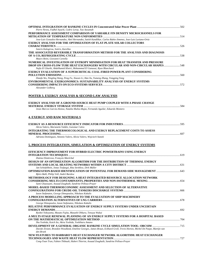| Pierre Neveu, Fadhel Ayachi, Cedric Leray, Yao Azoumah                                                                                                        |  |
|---------------------------------------------------------------------------------------------------------------------------------------------------------------|--|
| PERFORMANCE ASSESSMENT COMPARISON OF VARIABLE FIN DENSITY MICROCHANNELS FOR                                                                                   |  |
| Jose-Luis Gonzalez-Hernandez, Abel Hernandez, Satish Kandlikar, Carlos Rubio-Jimenez, Jose-Luis Luviano-Ortiz                                                 |  |
| EXERGY ANALYSIS FOR THE OPTIMIZATION OF FLAT-PLATE SOLAR COLLECTORS                                                                                           |  |
|                                                                                                                                                               |  |
| Soteris Kalogirou, Sotiris, Karellas                                                                                                                          |  |
| THE ASSOCIATED REVERSIBLE TRANSFORMATION METHOD FOR THE ANALYSIS AND DIAGNOSIS                                                                                |  |
|                                                                                                                                                               |  |
| Mauro Reini, Giovanni Cortella                                                                                                                                |  |
| NUMERICAL INVESTIGATION OF ENTROPY MINIMISATION FOR HEAT TRANSFER AND PRESSURE                                                                                |  |
| DROP ON CROSS-FLOW TUBE HEAT EXCHANGERS WITH CIRCULAR AND NON-CIRCULAR SHAPES  548<br>Najla El Gharbi, Abdelhamid Kheiri, Mohammed El Ganaoui, Ryan Blanchard |  |
| EXERGY EVALUATION OF A SUPERCRITICAL COAL-FIRED POWER PLANT CONSIDERING                                                                                       |  |
|                                                                                                                                                               |  |
| Dianfa Wu, Ningling Wang, Peng Fu, Xiaoen Li, Han Xu, Yumeng Zhang, Yongping Yang                                                                             |  |
| ENVIRONMENTAL EXERGONOMICS: SUSTAINABILITY ANALYSIS OF ENERGY SYSTEMS                                                                                         |  |
|                                                                                                                                                               |  |
| Alexander Golberg                                                                                                                                             |  |
|                                                                                                                                                               |  |
| POSTER 3. EXERGY ANALYSIS & SECOND LAW ANALYSIS                                                                                                               |  |
|                                                                                                                                                               |  |
| EXERGY ANALYSIS OF A GROUND-SOURCE HEAT PUMP COUPLED WITH A PHASE CHANGE                                                                                      |  |
|                                                                                                                                                               |  |
| Jesús Marcos García-Alonso, Natalia Muñoz-Rujas, Fernando Aguilar, Eduardo Montero                                                                            |  |
|                                                                                                                                                               |  |
| 4. EXERGY AND RAW MATERIALS                                                                                                                                   |  |
|                                                                                                                                                               |  |
|                                                                                                                                                               |  |
| Alicia Valero, Marianela Valdés, Guiomar Calvo                                                                                                                |  |
| INTEGRATING THE THERMOECOLOGICAL AND EXERGY REPLACEMENT COSTS TO ASSESS                                                                                       |  |
| Adriana Dominguez, Antonio Valero, Alicia Valero, Wojciech Stanek                                                                                             |  |
|                                                                                                                                                               |  |
|                                                                                                                                                               |  |
| 5. PROCESS INTEGRATION, SIMULATION & OPTIMIZATION OF ENERGY SYSTEMS                                                                                           |  |
| EFFICIENCY IMPROVEMENT FOR HYBRID ELECTRIC POWERTRAINS USING ENERGY                                                                                           |  |
|                                                                                                                                                               |  |
| Zlatina Dimitrova, François Maréchal                                                                                                                          |  |
| DESIGN OF AN OPTIMIZATION ALGORITHM FOR THE DISTRIBUTION OF THERMAL ENERGY                                                                                    |  |
|                                                                                                                                                               |  |
| Jan Schiefelbein, Jonas Tesfaegzi, Rita Streblow, Dirk Müller                                                                                                 |  |
|                                                                                                                                                               |  |
| Björn Bahl, Philip Voll, André Bardow                                                                                                                         |  |
| METHODOLOGY FOR DESIGNING A HEAT-INTEGRATED RESOURCE ALLOCATION NETWORK                                                                                       |  |
| Sami Ghazouani, Assaad Zoughaib, Sandrine Pelloux-Prayer                                                                                                      |  |
| MODEL-BASED THERMOECONOMIC ASSESSMENT AND SELECTION OF ALTERNATIVE                                                                                            |  |
|                                                                                                                                                               |  |
| Iason Stefanatos, George Dimopoulos, Nikolaos Kakalis                                                                                                         |  |
| A PROCESS MODELLING APPROACH TO THE EVALUATION OF SHIP MACHINERY                                                                                              |  |
|                                                                                                                                                               |  |
| George Dimopoulos, Iason Stefanatos, Nikolaos Kakalis                                                                                                         |  |
| RELATIVE PERFORMANCE EVALUATION OF ENERGY SUPPLY SYSTEMS UNDER UNCERTAIN                                                                                      |  |
|                                                                                                                                                               |  |
| Ryohei Yokoyama, Masato Fujita, Masashi Ohkura, Tetsuya Wakui                                                                                                 |  |
| A MULTI-STAGE RENEWAL PLANNING OF AN ENERGY SUPPLY SYSTEMS FOR A HOSPITAL BASED                                                                               |  |
| Shu Yoshida, Koich Ito, Akira Yoshida, Yoshiharu Amano                                                                                                        |  |
|                                                                                                                                                               |  |
| Davide Ziviani, Brandon Woodland, Emeline Georges, James Braun, Eckhard Groll, Trevis Horton, Michel De Paepe, Martijn van                                    |  |
| den Broek                                                                                                                                                     |  |
| NEW FEATURES TO BARBARO'S HEAT EXCHANGER NETWORK ALGORITHM: HEAT EXCHANGER                                                                                    |  |
|                                                                                                                                                               |  |
| Cong-Toan Tran, Fabien Thibault, Hubert Thieriot, Assaad Zoughaib, Sandrine Pelloux-Prayer                                                                    |  |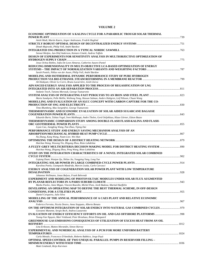## **VOLUME 2**

| ECONOMIC OPTIMIZATION OF A KALINA CYCLE FOR A PARABOLIC TROUGH SOLAR THERMAL                                                                                                         |  |
|--------------------------------------------------------------------------------------------------------------------------------------------------------------------------------------|--|
| Anish Modi, Martin Kaern, Jesper Andreasen, Fredrik Haglind                                                                                                                          |  |
| Dinah Majewski, Philip Voll, André Bardow                                                                                                                                            |  |
| Sennai Mesfun, Jan-Olof Anderson, Kentaro Umeki, Andrea Toffolo                                                                                                                      |  |
| DESIGN OF EXPERIMENTS FOR SENSITIVITY ANALYSIS IN MULTIOBJECTIVE OPTIMIZATION OF                                                                                                     |  |
| Jesus Ochoa Robles, Sofia De-Leon Almaraz, Catherine Azzaro-Pantel                                                                                                                   |  |
| REDUCING DIMENSIONALITY IN MULTI-OBJECTIVE LCA-BASED OPTIMIZATION OF ENERGY                                                                                                          |  |
| Sarah Postels, Niklas von der Assen, Philip Voll, André Bardow                                                                                                                       |  |
| MODELING AND ISOTHERMAL DYNAMIC PERFORMANCE STUDY OF PURE HYDROGEN                                                                                                                   |  |
| Ali Hedayati, Olivier Le Corre, Bruno Lacarrière, Jordi Llorca                                                                                                                       |  |
| ADVANCED EXERGY ANALYSIS APPLIED TO THE PROCESS OF REGASIFICATION OF LNG                                                                                                             |  |
|                                                                                                                                                                                      |  |
| Stefanie Tesch, Tatiana Morosuk, George Tsatsaronis                                                                                                                                  |  |
|                                                                                                                                                                                      |  |
| Maria Sundqvist, Pelle Mellin, Weihong Yang, Hassan Salman, Anders Hultgren, Leif Nilsson, Chuan Wang<br>MODELLING AND EVALUATION OF AN IGCC CONCEPT WITH CARBON CAPTURE FOR THE CO- |  |
|                                                                                                                                                                                      |  |
| Timo Blumberg, Max Sorgenfrei, George Tsatsaronis                                                                                                                                    |  |
| THERMODYNAMIC AND ECONOMIC EVALUATION OF SOLAR AIDED SUGARCANE BAGASSE                                                                                                               |  |
| Eduardo Burin, Tobias Vogel, Sven Multhaupt, Andre Thelen, Gerd Oeljeklaus, Klaus Görner, Edson Bazzo                                                                                |  |
| THERMODYNAMIC COMPARISON STUDY AMONG DOUBLE-FLASH FLASH-KALINA AND FLASH-                                                                                                            |  |
| Liyan Cao, Jiangfeng Wang, Pan Zhao, Yiping Dai                                                                                                                                      |  |
| PERFORMANCE STUDY AND ENERGY SAVING MECHANISM ANALYSIS OF AN                                                                                                                         |  |
| Na Zhang, Kang Wang, Noam Lior, Wei Han                                                                                                                                              |  |
| Haichao Wang, Wusong Yin, Zhigang Zhou, Risto Lahdelma                                                                                                                               |  |
| 90 A FUZZY-GREY MULTICRITERIA DECISION MAKING MODEL FOR DISTRICT HEATING SYSTEM                                                                                                      |  |
| Haichao Wang, Zhigang Zhou, Peng Wang, Risto Lahdelma                                                                                                                                |  |
| STUDY ON THE INTEGRATION CHARACTERISTICS OF A NOVEL INTEGRATED SOLAR COMBINED                                                                                                        |  |
| Liqiang Duan, Wanjun Qu, Shilun Jia, Yongping Yang, Long Yue                                                                                                                         |  |
|                                                                                                                                                                                      |  |
| Karolina Petela, Giampaolo Manfrida, Marcin Liszka, Carlo Carcasci                                                                                                                   |  |
| <b>EXERGY ANALYSIS OF COGENERATION SOLAR POWER PLANT WITH LOW TEMPERATURE</b>                                                                                                        |  |
| Johannes Wellmann, Jonas Balyos, Frank Behrendt                                                                                                                                      |  |
| EXPERIMENT AND MODELING OF PHOTOVOLTAIC MODULES UNDER SOLAR FLUX AUGMENTED                                                                                                           |  |
| Marko Pavlov, Anne Migan, Vincent Bourdin, Michel Pons, Jordi Badosa, Martial Haeffelin                                                                                              |  |
| DEVELOPING AN OPERATING MAP TO DEFINE THE BEST THERMAL SCHEME, IN OFF-DESIGN                                                                                                         |  |
| Daniel Cerqueira, Julio Silva                                                                                                                                                        |  |
| MODELLING OF THE ANNUAL PERFORMANCE OF A CAES PLANT AND RELATIVE ECONOMIC                                                                                                            |  |
|                                                                                                                                                                                      |  |
| Federico Ferretto, Nicola Destro, Anna Stoppato, Alberto Benato                                                                                                                      |  |
| ON THE OPTIMUM INTEGRATION OF SOLAR ENERGY INTO NATURAL GAS COMBINED CYCLES979<br>Giovanni Manente, Sergio Rech, Andrea Lazzaretto                                                   |  |
| Tuong-Van Nguyen, Mari Voldsund, Peter Breuhaus, Brian Elmegaard                                                                                                                     |  |
| GREENHOUSE GAS EMISSIONS CONSEQUENCES OF UTILIZATION OF EXCESS HEAT FROM AN OIL                                                                                                      |  |
|                                                                                                                                                                                      |  |
| Lina Eriksson, Matteo Morandin, Simon Harvey<br>EXPERIMENTAL AND NUMERICAL ANALYSIS OF A PCM FOR MORE UNIFORM BATTERY                                                                |  |
|                                                                                                                                                                                      |  |
| Carla Menale, Francesco D'Annibale, Roberto Bubbico, Jorge Payà                                                                                                                      |  |
| <b>OPTIMAL SPEED CONTROL OF TWO UNEQUAL PARALLEL PUMPS IN RESERVOIR FILLING -</b>                                                                                                    |  |
|                                                                                                                                                                                      |  |
| Matti Lindstedt, Reijo Karvinen                                                                                                                                                      |  |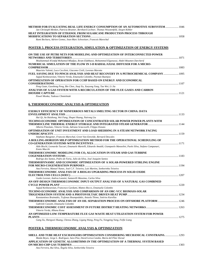| Jan Christoph Menken, Patricia Brunner, Bernhard Lechner, Thomas Weustenfeld, Jürgen Köhler<br><b>HEAT INTEGRATION OF ETHANOL FROM SUGARCANE PRODUCTION PROCESS THROUGH</b> |  |
|-----------------------------------------------------------------------------------------------------------------------------------------------------------------------------|--|
|                                                                                                                                                                             |  |
| Rami Bechara, Adrien Gomez, Jean-Marc Schweitzer, Francois Marechal                                                                                                         |  |
| POSTER 5. PROCESS INTEGRATION, SIMULATION & OPTIMIZATION OF ENERGY SYSTEMS                                                                                                  |  |
|                                                                                                                                                                             |  |
| ON THE USE OF PETRI NETS FOR MODELING AND OPTIMIZATION OF INTERCONNECTED POWER                                                                                              |  |
| Mouhammad Al'anfaf Mohamed Mladjao, Ikram Elabbassi, Mohammed Elganaoui, Abdel-Moumen Darcherif                                                                             |  |
| NUMERICAL SIMULATION OF THE FLOW IN 3-D RADIAL/AXIAL DIFFUSER FOR A MICRO-                                                                                                  |  |
| Maurizio Valenti, Luca Cecchini, Giacomo Civili, Lorenzo Marotta                                                                                                            |  |
| FUEL SAVING DUE TO PINCH ANALYSIS AND HEAT RECOVERY IN A PETROCHEMICAL COMPANY  1095                                                                                        |  |
| Sajjad Keshavarzian, Vittorio Verda, Emanuela Colombo, Peyman Razmjoo                                                                                                       |  |
| <b>OPTIMIZATION OF OPERATION FOR CCHP BASED ON ENERGY AND ECONOMICAL</b>                                                                                                    |  |
| Peng Guan, Guosheng Peng, Bin Chen, Jiaqi Xu, Xueyong Yang, Tao Wei, Li Jia                                                                                                 |  |
| ANALYSIS OF A GAS SYSTEM WITH A RECIRCULATION OF THE FLUE GASES AND CARBON                                                                                                  |  |
|                                                                                                                                                                             |  |
| Pawel Monka, Tadeusz Chmielniak                                                                                                                                             |  |
| <b>6. THERMOECONOMIC ANALYSIS &amp; OPTIMIZATION</b>                                                                                                                        |  |
|                                                                                                                                                                             |  |
| EXERGY EFFICIENCY OF NONFERROUS METALS SMELTING SECTOR IN CHINA: DATA                                                                                                       |  |
| Hai Qi, An Haizhong, Wei Fang, Shupei Huang, Nairong Liu                                                                                                                    |  |
| TECHNO-ECONOMIC OPTIMIZATION OF CONCENTRATED SOLAR POWER POWER PLANTS WITH                                                                                                  |  |
|                                                                                                                                                                             |  |
| Alberto Pizzolato, Vittorio Verda, Adriano Sciacovelli, Filippo Donato                                                                                                      |  |
| OPTIMISATION OF UNIT INVESTMENT AND LOAD SHEDDING IN A STEAM NETWORK FACING                                                                                                 |  |
| Stéphane Bungener, Francois Marechal, Greet Van Eetvelde, Bernard Descales                                                                                                  |  |
| A ROLLING-HORIZON MILP OPTIMIZATION METHOD FOR THE OPERATIONAL SCHEDULING OF                                                                                                |  |
|                                                                                                                                                                             |  |
| Aldo Bischi, Leonardo Taccari, Emanuele Martelli, Edoardo Amaldi, Giampaolo Manzolini, Paolo Silva, Stefano Campanari,                                                      |  |
| Ennio Macchi                                                                                                                                                                |  |
| THERMOECONOMIC MODELING FOR CO2 ALLOCATION IN STEAM AND GAS TURBINE                                                                                                         |  |
| Rodrigo dos Santos, Pedro de Faria, Julio da Silva, José Joaquim Santos                                                                                                     |  |
| THERMODYNAMIC AND ECONOMIC OPTIMIZATION OF A SOLAR-POWERED STIRLING ENGINE                                                                                                  |  |
|                                                                                                                                                                             |  |
| Ana Ferreira, Manuel Nunes, José C.F. Teixeira, Luís Martins, Senhorinha Teixeira                                                                                           |  |
| THERMOECONOMIC ANALYSIS OF A BIOGAS UPGRADING PROCESS IN SOLID OXIDE                                                                                                        |  |
| Guido Lorenzi, Andrea Lanzini, Santarelli Massimo, Carlos Silva                                                                                                             |  |
| AN OFF-DESIGN THERMOECONOMIC INPUT-OUTPUT ANALYSIS OF A NATURAL GAS COMBINED                                                                                                |  |
|                                                                                                                                                                             |  |
| Sajjad Keshavarzian, Francesco Gardumi, Matteo Rocco, Emanuela Colombo                                                                                                      |  |
| TECHNO-ECONOMIC ANALYSIS AND COMPARISON OF AN ORC-VCC BIOMASS-SOLAR                                                                                                         |  |
| Konstantinos Braimakis, Tryfonas Roumpedakis, Antzela Thimo, Sotirios Karellas                                                                                              |  |
| THERMOECONOMIC ANALYSIS OF AN OIL SEPARATION PROCESS ON OFFSHORE PLATFORM  1246                                                                                             |  |
| Gabriele Cassetti, Emanuela Colombo                                                                                                                                         |  |
|                                                                                                                                                                             |  |
| Vittorio Verda, Albana Kona<br>AN OPTIMIZED LOW-TEMPERATURE FLUE GAS WASTE HEAT UTILIZATION SYSTEM FOR POWER                                                                |  |
|                                                                                                                                                                             |  |
| Gang Xu, Shengwei Huang, Chenxu Zhang, Ligang Wang, Peng Fu, Yongping Yang, Feifie Liang                                                                                    |  |
|                                                                                                                                                                             |  |

# **POSTER 6. THERMOECONOMIC ANALYSIS & OPTIMIZATION**

| SHELL AND TUBE HEAT EXCHANGERS OPTIMIZATION CONSIDERING MECHANICAL CONSTRAINS 1293    |      |
|---------------------------------------------------------------------------------------|------|
| Maida Reyes, Jorge L. Rodríguez, Sara Pinz, David Leiva-Candia, Maria del Pilar Dorad |      |
| APPLICATION OF GENETIC ALGORITHMS IN THE OPTIMIZATION OF A THERMAL SYSTEM BASED       |      |
|                                                                                       | 1303 |
| Ana Ferreira, Rui Silva, Ângela Silva, Senhorinha Teixeira                            |      |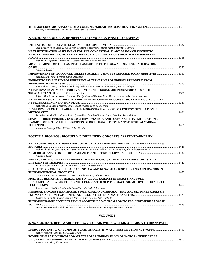| Ion Ion, Florin Popescu, Simona Paraschiv, Spiru Paraschiv |  |
|------------------------------------------------------------|--|

#### **7. BIOMASS / BIOFUELS, BIOREFINERY CONCEPTS, WASTE-TO-ENERGY**

| Jörg Leicher, Anne Giese, Klaus Görner, Bernhard Fleischmann, Marco Märtin, Hartmut Wuthnow                  |      |
|--------------------------------------------------------------------------------------------------------------|------|
| HEAT INTEGRATION ASSESSMENT FOR THE CONCEPTUAL PLANT DESIGN OF SYNTHETIC                                     |      |
| NATURAL GAS PRODUCTION FROM SUPERCRITICAL WATER GASIFICATION OF SPIRULINA                                    |      |
|                                                                                                              |      |
| Mohamed Magdeldin, Thomas Kohl, Cataldo De Blasio, Mika Järvinen                                             |      |
| MEASUREMENTS OF THE LAMINAR FLAME SPEED OF THE SEWAGE SLUDGE GASIFICATION                                    |      |
| GASES <b>SECURE ASSESS</b>                                                                                   | 1350 |
| Sebastian Werle                                                                                              |      |
| IMPROVEMENT OF WOOD FUEL PELLETS QUALITY USING SUSTAINABLE SUGAR ADDITIVES  1357                             |      |
| Magnus Ståhl, Jonas Berghel, Karin Granström                                                                 |      |
| <b>ENERGETIC EVALUATION OF DIFFERENT ALTERNATIVES OF ENERGY RECOVERY FROM</b>                                |      |
|                                                                                                              |      |
| Ana Medina Jimenez, Guilherme Nordi, Reynaldo Palacios Bereche, Silvia Nebra, Antonio Gallego                |      |
| A MATHEMATICAL MODEL FOR EVALUATING THE ECONOMIC INDICATORS OF WASTE                                         |      |
|                                                                                                              |      |
| Biljana Milutinovic, Gordana Stefanovic, Ksenija Dencic-Mihajlov, Petar Djekic, Rovena Preka, Goran Vuckovic |      |
| A ONE-DIMENSIONAL MODEL FOR RDF THERMO-CHEMICAL CONVERSION ON A MOVING GRATE                                 |      |
|                                                                                                              |      |
| Maurizio La Villetta, Frederic Marias, Michela Costa, Nicola Massarotti                                      |      |
| DEVELOPMENT OF THE LARGE SCALE BIOGAS TECHNOLOGY FOR ENERGY GENERATION IN                                    |      |
|                                                                                                              |      |
| Lucia Mónica Gutiérrez Castro, Pedro Quinto Diez, Luis René Rangel López, Luis Raúl Tovar Gálvez             |      |
| SEAWEED BIOREFINERIES: EXERGY, FERMENTATION, AND SUSTAINABILITY IMPLICATIONS;                                |      |
| <b>EXAMPLE OF POTENTIAL PRODUCTION OF BIOETHANOL FROM KAPPAPHYCUS ALVAREZZI IN</b>                           |      |
|                                                                                                              |      |

*Alexander Golberg, Edward Vitkin, Zohar Yakhini* 

## **POSTER 7. BIOMASS / BIOFUELS, BIOREFINERY CONCEPTS, WASTE-TO-ENERGY**

| PVT PROPERTIES OF OXIGENATED COMPOUNDS DIPE AND DBE FOR THE DEVELOPMENT OF NEW                             |      |
|------------------------------------------------------------------------------------------------------------|------|
| <b>BIOFUELS</b>                                                                                            | 1423 |
| Mohamed Dakkach, Fatima E. M. Alaoui, Natalia Muñoz-Rujas, Adil Srhiver, Fernando Aguilar, Eduardo Montero |      |
| Sebastian Werle                                                                                            |      |
| <b>ENHANCEMENT OF METHANE PRODUCTION OF MICROWAVED PRETREATED BIOWASTE AT</b>                              |      |
|                                                                                                            |      |
| Isabella Pecorini, Ennio Carnevale, Andrea Corti, Francesco Baldi                                          |      |
| CHARACTERIZATION OF SUGARCANE STRAW AND BAGASSE AS BIOFUELS AND APPLICATION IN                             |      |
| Julia Maria Camargo, Ana Maria Neto, Graziella Antonio, Juliana Toneli                                     |      |
| MULTIPLE RESPONSE OPTIMIZATION TO REDUCE EXHAUST EMISSIONS AND FUEL                                        |      |
| <b>CONSUMPTION OF A DIESEL ENGINE FUELLED WITH OLIVE POMACE OIL METHYL ESTER/DIESEL</b>                    |      |
|                                                                                                            | 1462 |
| Iosvani Lopez, David Leiva-Candia, Sara Pinzi, Maria del Pilar Dorado                                      |      |
| RESIDUAL BIOMASS FROM BRAZIL'S PANTANAL AND CERRADO – HHV AND ULTIMATE ANALYSIS                            |      |
|                                                                                                            |      |
| Robson da Silva, Omar Seye, Tainara Torres, Thiago Pereira, José Patelli Jr.                               |      |
| THERMODYNAMIC CONSIDERATIONS ABOUT THE WAY FROM LOW TO HIGH PRESSURE BAGASSE                               |      |
| <b>BOILERS</b>                                                                                             | 1483 |
| Oscar Cruz Fonticialla Idalbarto Herrera, Frlich Catharina, Ward De Paene, Francesco Contino               |      |

*Oscar Cruz Fonticiella, Idalberto Herrera, Erlich Catharina, Ward De Paepe, Francesco Contino* 

## **VOLUME 3**

## **8. NONBIOMASS RENEWABLE ENERGY: SOLAR, WIND, WATER, OTHERS & HYDROPOWER**

| ENERGY POTENTIAL OF PUMPS AS TURBINES (PATS) IN WATER DISTRIBUTION NETWORKS |      |
|-----------------------------------------------------------------------------|------|
| Mauro Venturini, Stefano Alvisi, Silvio Simani                              |      |
| POWER GENERATION FROM LOW GRADE SOLAR ENERGY USING ORGANIC RANKINE CYCLE    |      |
|                                                                             | 1510 |
| Emrah Demirtekin, Ilhami Horuz                                              |      |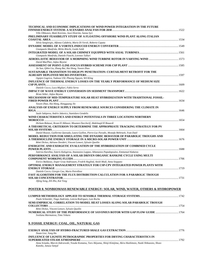| TECHNICAL AND ECONOMIC IMPLICATIONS OF WIND POWER INTEGRATION IN THE FUTURE                                                                |  |
|--------------------------------------------------------------------------------------------------------------------------------------------|--|
|                                                                                                                                            |  |
| Ville Olkkonen, Matti Koivisto, Jussi Ekström, Sanna Syri<br>PRELIMINARY FEASIBILITY STUDY OF A FLOATING OFFSHORE WIND PLANT ALONG ITALIAN |  |
|                                                                                                                                            |  |
| Silvia Sangiorgio, Alfonso Calabria, Mario Di Veroli, Roberto Capata                                                                       |  |
|                                                                                                                                            |  |
| Giampaolo Manfrida, Mirko Rinchi, Guido Soldi                                                                                              |  |
| Giampaolo Manfrida, Daniele Fiaschi, Lorenzo Talluri                                                                                       |  |
|                                                                                                                                            |  |
| David MacPhee, Asfaw Beyene                                                                                                                |  |
|                                                                                                                                            |  |
| Jie Sun, Qibin Liu, Zhang Bai, Hui Hong, Yawen Zhao<br>SUSTAINABLE TRANSITION TO HIGH PV PENETRATION: CURTAILMENT RETROFIT FOR THE         |  |
|                                                                                                                                            |  |
| Ognjen Gagrica, Tadeusz Uhl, Phuong Nguyen, Wil Kling                                                                                      |  |
| INFLUENCE OF THERMAL ENERGY LOSSES ON THE YEARLY PERFORMANCE OF MEDIUM SIZE                                                                |  |
|                                                                                                                                            |  |
| Daniele Cocco, Luca Migliari, Fabio Serra                                                                                                  |  |
| Brian Stiber, Asfaw Beyene                                                                                                                 |  |
| MECHANISM OF MID-TEMPERATURE SOLAR HEAT HYBRIDIZATION WITH TRADITIONAL FOSSIL-                                                             |  |
|                                                                                                                                            |  |
| Yawen Zhao, Hui Hong, Hongguang Jin                                                                                                        |  |
| ANALYSIS OF ENERGY SUPPLY FROM RENEWABLE SOURCES CONSIDERING THE CLIMATE IN                                                                |  |
| Saule Sakipova, Andris Jakovics, Stanislavs Gendelis                                                                                       |  |
| WIND CHARACTERISTICS AND ENERGY POTENTIALS IN THREE LOCATIONS NORTHERN                                                                     |  |
|                                                                                                                                            |  |
| Hicham Bidaoui, Ikram El Abbassi, Moumen Darcherif, Abdelmajd El Bouardi                                                                   |  |
| A THEORETICAL CRITERION TO DETERMINE THE APPROPRIATE TRACKING STRATEGY FOR PV                                                              |  |
| Daniel Rousse, Guillermo Quesada, Laura Guillon, Pierre-Luc Paradis, Mostafa Mehrtash, Yvan Dutil                                          |  |
| MODEL REDUCTION FOR SIMULATING THE DYNAMIC BEHAVIOR OF PARABOLIC TROUGHS AND                                                               |  |
|                                                                                                                                            |  |
| Rémi Dickes, Adriano Desideri, Vincent Lemort, Sylvain Quoilin                                                                             |  |
| ENERGETIC AND EXERGETIC EVALUATION OF THE HYBRIDIZATION OF COMBINED CYCLE                                                                  |  |
| Sotirios Karellas, Soteris Kalogirou, Anastasios Lappas, Athanasios Papadopoulos, Emmanuel Kakaras                                         |  |
| PERFORMANCE ANALYSIS OF A SOLAR DRIVEN ORGANIC RANKINE CYCLE USING MULTI                                                                   |  |
|                                                                                                                                            |  |
| Enrico Baldasso, Jesper Graa Andreasen, Fredrik Haglind, Anish Modi, Anna Stoppato                                                         |  |
| OPTIMAL ENERGY MANAGEMENT STRATEGY FOR CSP-CPV INTEGRATED POWER PLANTS WITH                                                                |  |
| Daniele Cocco, Giorgio Cau, Mario Petrollese                                                                                               |  |
| FAST ALGORITHM FOR THE FLUX DISTRIBUTION CALCULATION FOR A PARABOLIC TROUGH                                                                |  |
|                                                                                                                                            |  |
| Jifeng Song, Zili Zho, Kai Tong                                                                                                            |  |
|                                                                                                                                            |  |
| POSTER 8. NONB <u>IOMASS RENEWABLE ENERGY: SOLAR, WIND, WATER, OTHERS &amp; HYDROPOWER</u>                                                 |  |
|                                                                                                                                            |  |
| Paulo Schneider, Tiago Andriotty, Leticia Rodrigues, Luiz Rocha                                                                            |  |
| SEMI-EMPIRICAL CORRELATION TO MODEL HEAT LOSSES ALONG SOLAR PARABOLIC TROUGH                                                               |  |
|                                                                                                                                            |  |
| Rémi Dickes, Vincent Lemort, Sylvain Quoilin                                                                                               |  |
| Svetlana Marmutova, Timo Vekara                                                                                                            |  |
|                                                                                                                                            |  |
|                                                                                                                                            |  |
| 9. FOSSIL ENERGY: COAL, OIL, NATURAL GAS                                                                                                   |  |
|                                                                                                                                            |  |
| Noam Lior, Yang Hu                                                                                                                         |  |
| INFLUENCE OF LIGNITE PETROGRAPHIC PROPERTIES FOR DRYING CHARACTERISTICS IN                                                                 |  |
| Anna Sciazko, Marcin Zakrzowski, Vosuko Komatsu, Taro Akiyama, Shinji Kimijima, Akira Hashimoto, Naoki Shikazono, Shozo                    |  |
|                                                                                                                                            |  |

*Anna Sciazko, Marcin Zakrzewski, Yosuke Komatsu, Taro Akiyama, Shinji Kimijima, Akira Hashimoto, Naoki Shikazono, Shozo Kaneko, Janusz Szmyd*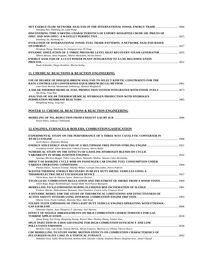| Xiaoqing Hao, Haizhong An, Lijun Wang                                                                                                                                                         |      |
|-----------------------------------------------------------------------------------------------------------------------------------------------------------------------------------------------|------|
| DISCOVERING TIME-VARYING CHARACTERISTICS OF EXPORT-WEIGHTED CRUDE OIL PRICES OF<br>Xiaoliang Jia, Haizhong An                                                                                 |      |
| EVOLUTION OF INTERNATIONAL FOSSIL FUEL TRADE PATTERNS: A NETWORK ANALYSIS BASED                                                                                                               |      |
| Weigiong Zhong, Haizhong An, Xiangyun Gao, Di Dong<br>DYNAMIC SIMULATION OF A THREE PRESSURE LEVEL HEAT RECOVERY STEAM GENERATOR  1835                                                        |      |
| Alberto Benato, Anna Stoppato, Alberto Mirandola, Nicola Destro<br>ENERGY ANALYSIS OF A CCGT POWER PLANT INTEGRATED TO A LNG REGASIFICATION                                                   |      |
| Paulo Schneider, Diogo Stradioto, Marina Seelig                                                                                                                                               |      |
|                                                                                                                                                                                               |      |
| <u>11. CHEMICAL REACTIONS &amp; REACTION ENGINEERING</u>                                                                                                                                      |      |
| USE OF DEGREE OF DISEQUILIBRIUM ANALYSIS TO SELECT KINETIC CONSTRAINTS FOR THE                                                                                                                |      |
| Gian Paolo Beretta, Mohammad Janbozorgi, Hameed Metghalchi                                                                                                                                    |      |
| A SOLAR THERMOCHEMICAL FUEL PRODUCTION SYSTEM INTEGRATED WITH FOSSIL FUELS<br>Hui Kong, Yong Hao                                                                                              |      |
| ANALYSIS OF SOLAR THERMOCHEMICAL HYDROGEN PRODUCTION WITH HYDROGEN                                                                                                                            |      |
| Hongsheng Wang, Yong Hao                                                                                                                                                                      |      |
| <b>POSTER 11. CHEMICAL REACTIONS &amp; REACTION ENGINEERING</b>                                                                                                                               |      |
|                                                                                                                                                                                               |      |
| Pawel Pilarz, Tadeusz Chmielniak                                                                                                                                                              |      |
| 12. ENGINES, FURNACES & BOILERS, COMBUSTION/GASIFICATION                                                                                                                                      |      |
| EXPERIMENTAL STUDY ON THE PERFORMANCE OF A THREE-WAY CATALYTIC CONVERTER IN                                                                                                                   |      |
| Jacek Hunicz, Alejandro Medina                                                                                                                                                                |      |
| Gwyddyon Féniès, Julien Ramousse, Fabien Formosa, Adrien Badel                                                                                                                                |      |
| NUMERICAL STUDY ON THE EFFECTS OF GASOLINE-HYDROGEN BLENDS ON CYCLIC                                                                                                                          |      |
| Santiago Martínez-Boggio, Pedro Curto-Risso, Alejandro Medina, Antonio Calvo Hernández                                                                                                        |      |
| IMPACT OF RANKINE CYCLE WHR ON PASSENGER CAR ENGINE FUEL CONSUMPTION UNDER                                                                                                                    |      |
| Plamen Punov, Teodossi Evtimov, Nikolay Milkov, Georges Descombes, Pierre Podevin                                                                                                             |      |
| WASTED THERMAL ENERGY RECOVERY IN HEAVY DUTY DIESEL VEHICLES USING A                                                                                                                          |      |
| Olivia Rosa, Amir de Oliveira Junior, Roberson Oliveira<br>XYLOCLEAN: COMBUSTION REGULATION AND TREATMENT OF SMOKE FROM A WOOD STOVE                                                          | 1969 |
| Julien Ropp, Roger Roethlisberger, Samuel Roth, Jean-Pascal Bourgeois                                                                                                                         |      |
| Frederic Marias, Abderahmane Benzaoui, Jean Vaxelaire, Franck Gelix, Francois Nicol                                                                                                           |      |
| A DYNAMIC MODEL FOR THE STUDY OF THEORETICAL LIMITATIONS AND EFFECTIVENESS OF                                                                                                                 |      |
| Alberto Terzo, Paolo Gobbato, Massimo Masi, Aldo Rossi                                                                                                                                        |      |
| STEADY STATE EMISSIONS OF TWO LIGHT DUTY VEHICLE ENGINES OPERATING WITH ETHANOL-                                                                                                              |      |
|                                                                                                                                                                                               |      |
| Sebastián Ospina, Juan Tibaquirá, F. Quirama, José Huertas<br>EFFECT OF NOZZLE ARRANGEMENTS ON MILD COMBUSTION CHARACTERISTICS FOR GAS                                                        |      |
|                                                                                                                                                                                               |      |
| Qiang Wang, Yan Xiong, Mingming Huang, Weiwei Shao, Zhedian Zhang, Yunhan Xiao                                                                                                                |      |
| SPLIT INJECTION IN A HOS GDI ENGINE FOR HIGH COMBUSTION EFFICIENCY AND LOW                                                                                                                    |      |
| Michela Costa, Ugo Sorge, Simona Merola, Adrian Irimescu, Maurizio La Villetta, Vittorio Rocco                                                                                                |      |
| CDF MODELLING TO STUDY SWIRL MOTION EFFECTS ON COMBUSTION CHARACTERISICS OF<br>Abdallah Elorf, Nadia Mrad-Koched, Brahim Sarh, Iskender Gökalp, Stephane Bostyn, Boujema Izrar, Jamal Chaoufi |      |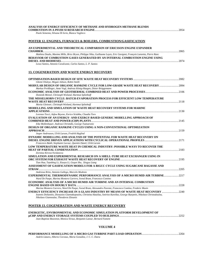| ANALYSIS OF ENERGY EFFICIENCY OF METHANE AND HYDROGEN-METHANE BLENDS                                                                                                      |  |
|---------------------------------------------------------------------------------------------------------------------------------------------------------------------------|--|
| Paolo Sementa, Silvana Di Iorio, Bianca Vaglieco                                                                                                                          |  |
|                                                                                                                                                                           |  |
| POSTER 12. ENGINES, FURNACES & BOILERS, COMBUSTION/GASIFICATION                                                                                                           |  |
| AN EXPERIMENTAL AND THEORETICAL COMPARISON OF ERICSSON ENGINE EXPANDER                                                                                                    |  |
|                                                                                                                                                                           |  |
| Mathieu Doubs, Maxime Mille, Brice Bryon, Philippe Nika, Guillaume Layes, Eric Gavignet, François Lanzetta, Pierre Ranc                                                   |  |
| BEHAVIOR OF COMBUSTION GASES GENERATED BY AN INTERNAL COMBUSTION ENGINE USING                                                                                             |  |
| Lesso Santos, Antonio Cavalcante, Carlos Santos, L. P. Santos                                                                                                             |  |
|                                                                                                                                                                           |  |
| <b>13. COGENERATION AND WASTE ENERGY RECOVERY</b>                                                                                                                         |  |
|                                                                                                                                                                           |  |
| Gbemi Oluleye, Megan Jobson, Robin Smith                                                                                                                                  |  |
| MODULAR DESIGN OF ORGANIC RANKINE CYCLE FOR LOW-GRADE WASTE HEAT RECOVERY 2094                                                                                            |  |
| Markus Preißinger, Anne Vogl, Andreas König-Haagen, Dieter Brüggemann                                                                                                     |  |
|                                                                                                                                                                           |  |
| Dominik Meinel, Christoph Wieland, Hartmut Spliethoff                                                                                                                     |  |
| THE MISSELHORN CYCLE: BATCH-EVAPORATION PROCESS FOR EFFICIENT LOW TEMPERATURE                                                                                             |  |
| Moritz Gleinser, Christoph Wieland, Hartmut Spliethoff                                                                                                                    |  |
| MODELLING AND SIMULATION OF WASTE HEAT RECOVERY SYSTEMS FOR MARINE                                                                                                        |  |
|                                                                                                                                                                           |  |
| Lorenzo Tocci, Asfaw Beyene, Enrico Sciubba, Claudia Toro                                                                                                                 |  |
| EVALUATION OF AN ENERGY- AND EXERGY-BASED GENERIC MODELLING APPROACH OF                                                                                                   |  |
|                                                                                                                                                                           |  |
| Eike Mollenhauer, Andreas Christidis, George Tsatsaronis<br>DESIGN OF ORGANIC RANKINE CYCLES USING A NON-CONVENTIONAL OPTIMIZATION                                        |  |
|                                                                                                                                                                           |  |
| Jesper Andreasen, Ulrik Larsen, Fredrik Haglind                                                                                                                           |  |
| DYNAMIC MODELLING AND ANALYSIS OF THE POTENTIAL FOR WASTE HEAT RECOVERY ON                                                                                                |  |
|                                                                                                                                                                           |  |
| Francesco Baldi, Stephanie Lacour, Quentin Danel, Ulrik Larsen                                                                                                            |  |
| LOW TEMPERATURE WASTE HEAT IN CHEMICAL INDUSTRY: POSSIBLE WAYS TO RECOVER THE                                                                                             |  |
| Zornitza Kirova-Yordanova                                                                                                                                                 |  |
| SIMULATION AND EXPERIMENTAL RESEARCH ON A SHELL-TUBE HEAT EXCHANGER USING IN                                                                                              |  |
|                                                                                                                                                                           |  |
| Tian Hua, Tuanbing Li, Xiaoya Li, Gequn Shu, Xingyu Liang                                                                                                                 |  |
| ASSESSMENT OF GASIFICATION MODELS FOR A BIGCC CYCLE USING SUGARCANE BAGASSE AND                                                                                           |  |
|                                                                                                                                                                           |  |
| Andressa Brito, Antonio Gallego, Marcelo Modesto<br><b>EXPERIMENTAL THERMODYNAMIC PERFORMANCE ANALYSIS OF A MICRO HUMID AIR TURBINE2217</b>                               |  |
| Ward De Paepe, Marina Montero Carrero, Svend Bram, Francesco Contino                                                                                                      |  |
| ECONOMIC ANALYSIS OF A MICRO HUMID AIR TURBINE AND AN INTERNAL COMBUSTION                                                                                                 |  |
|                                                                                                                                                                           |  |
| Marina Montero Carrero, Ward De Paepe, Svend Bram, Alessandro Parente, Francesco Contino, Frederic Musin                                                                  |  |
| ENERGY EFFICIENCY INCREASE IN A GLASS INDUSTRY BY MEANS OF WASTE HEAT RECOVERY 2240                                                                                       |  |
| Ioannis Dolianitis, Dionysios Giannakopoulos, Christina Hatzilau, Sotirios Karellas, George Skarpetis, Nikolaos Christodoulou,<br>Nikolaos Giannoulas, Theodoros Zitounis |  |
|                                                                                                                                                                           |  |
|                                                                                                                                                                           |  |
| POSTER 13. COGENERATION AND WASTE ENERGY RECOVERY                                                                                                                         |  |

#### **ENERGETIC, ENVIRONMENTAL AND ECONOMIC SIMULATION PLATFORM DEVELOPMENT OF µCHP AND ENERGY STORAGE SYSTEMS COUPLED TO BUILDINGS**......................................................................................2252

*Jean-Baptiste Bouvenot, Monica Siroux, Benjamin Latour, Bernard Fament* 

## **VOLUME 4**

| Andrés Lázaro, Alberto Coronas, Maria González, J. C. C. Dutra |  |
|----------------------------------------------------------------|--|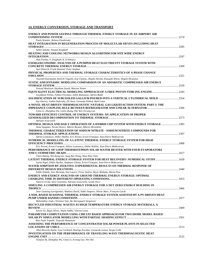## **14. ENERGY CONVERSION, STORAGE AND TRANSPORT**

| ENERGY AND POWER SAVINGS THROUGH THERMAL ENERGY STORAGE IN AN AIRPORT AIR                                                                                       |       |
|-----------------------------------------------------------------------------------------------------------------------------------------------------------------|-------|
| Paulo Wander, Robson Dombrosky                                                                                                                                  |       |
| HEAT INTEGRATION IN REGENERATION PROCESS OF MOLECULAR SIEVES INCLUDING HEAT                                                                                     |       |
|                                                                                                                                                                 |       |
| Sahar Salame, Assaad Zoughaib<br><b>HEATING AND COOLING NETWORKS DESIGN ALGORITHM FOR SITE WIDE ENERGY</b>                                                      |       |
| Alaa Farhat, A. Zoughaib, K. El Khoury                                                                                                                          |       |
| <b>EXERGOECONOMIC ANALYSIS OF A PUMPED HEAT ELECTRICITY STORAGE SYSTEM WITH</b>                                                                                 |       |
|                                                                                                                                                                 |       |
| Axel Dietrich, Frank Dammel, Peter Stephan<br>PHYSICAL PROPERTIES AND THERMAL STORAGE CHARACTERISTICS OF A PHASE CHANGE                                         |       |
|                                                                                                                                                                 |       |
| Tsuyoshi Kawanami, Kenichi Togashi, Koji Fumoto, Shigeki Hirano, Katsuaki Shirai, Shigeki Hirasawa                                                              |       |
| STATIC AND DYNAMIC MODELING COMPARISON OF AN ADIABATIC COMPRESSED AIR ENERGY                                                                                    |       |
|                                                                                                                                                                 |       |
| Youssef Mazloum, Haytham Sayah, Maroun Nemer                                                                                                                    |       |
| Gwyddyon Féniès, Fabien Formosa, Julien Ramousse, Adrien Badel                                                                                                  |       |
| SOLIDIFICATION OF SUBCOOLED GALLIUM POURED INTO A VERTICAL CYLINDRICAL MOLD 2354                                                                                |       |
| Itay Harary, Vadim Dubovsky, Eli Assis, Gennady Ziskind, Ruth Letan                                                                                             |       |
| A NOVEL HEAT-DRIVEN THERMOACOUSTIC NATURAL GAS LIQUEFACTION SYSTEM. PART I: THE                                                                                 |       |
|                                                                                                                                                                 |       |
| Linyu Li, Zhanghua Wu, Limin Zhang, Dai Wei, Ercang Luo                                                                                                         |       |
| <b>TOWARD EFFICIENT CONTROL OF ENERGY SYSTEMS: AN APPLICATION OF PROPER</b>                                                                                     |       |
| Adriano Sciacovelli                                                                                                                                             |       |
| <b>OPTIMAL DESIGN AND DAILY OPERATION OF A HYBRID CHP SYSTEM WITH ENERGY STORAGE 2385</b>                                                                       |       |
| Anna Stoppato, Nicola Destro, Alberto Benato, Alberto Mirandola                                                                                                 |       |
| THERMAL CHARACTERIZATION OF SODIUM NITRATE - SODIUM NITRITE COMPOUNDS FOR                                                                                       |       |
|                                                                                                                                                                 |       |
| Adrien Lomonaco, Didier Haillot, Eric Pernot, Erwin Franquet, Jean-Pierre Bédécarrats<br>NUMERICAL MODELLING OF A LATENT THERMAL ENERGY STORAGE SYSTEM FOR HIGH |       |
|                                                                                                                                                                 |       |
| Eric Pernot, Erwin Franquet, Adrien Lomonaco, Didier Haillot, Jean-Pierre Bédécarrats                                                                           |       |
| PERFORMANCE OF LOOP THERMOSYPHON SOLAR WATER HEATER WITH FOUR EVAPORATORS                                                                                       |       |
|                                                                                                                                                                 |       |
| Chien Huang, Wei-Keng Lin, Sung-Ren Wang, Shao-Wen Chen<br>LATENT THERMAL ENERGY STORAGE SYSTEM FOR HEAT RECOVERY: NUMERICAL STUDY 2428                         |       |
| Sacha Rigal, Didier Haillot, Stéphane Gibout, Erwin Franquet, Jean-Pierre Bédécarrats                                                                           |       |
| WATER SORPTION BY ZEOLITES: EXPERIMENTAL RESULTS ON THERMAL RESPONSE OF                                                                                         |       |
|                                                                                                                                                                 |       |
| Pablo Dolado, Ines Miranda, Ana Lazaro, Victor Andres, Reyes Mallada, Maria Pina                                                                                |       |
| ENERGY AND EXERGY ANALYSIS OF GROUND THERMAL ENERGY STORAGE: OPTIMAL                                                                                            |       |
|                                                                                                                                                                 |       |
| Vittorio Verda, Sara Cosentino, Adriano Sciacovelli, Guido Noce<br>SIMULING A COMPRESSED AIR ENERGY STORAGE FOR A NET ZERO ENERGY BUILDING IN                   |       |
|                                                                                                                                                                 | .2466 |
| Jean Castaing-Lasvignottes, Mathieu David, Sidiki Simpore, Olivier Marc, François Garde                                                                         |       |
| A SOIL-BASED SEASONAL THERMAL ENERGY STORAGE SYSTEM ASSISTED BY A PV-DRIVEN HEAT                                                                                |       |
|                                                                                                                                                                 |       |
| Muhyiddine Jradi, Christian Veje, Bo Nørregaard Jørgensen                                                                                                       |       |
| RECYCLED INDUSTRIAL WASTES AS HIGH TEMPERATURE ENERGY STORAGE MATERIALS, A                                                                                      |       |
| Xavier Py, Regis Olives, Najim Sadiki, Vincent Goetz                                                                                                            |       |
| PARAMETER COMPUTATION USING CIRCUIT BASED APPROACH FOR TWO DIODE MODEL BASED                                                                                    |       |
|                                                                                                                                                                 |       |
| Ravi Nath Tripathi, Tsuyoshi Hanamoto                                                                                                                           |       |
| ASSESSING THE PERFORMANCE OF CONCENTRATED SOLAR POWER PLANTS IN SELECTED                                                                                        |       |
| Allan Ricardo Starke, Jose Cardemil, Rodrigo Escobar, Leonardo Lemos, Sergio Colle                                                                              |       |
| <b>INVESTIGATION ON THE PERFORMANCE OF TRAVELING-WAVE THERMOACOUSTIC HEAT</b>                                                                                   |       |
|                                                                                                                                                                 |       |
| Tiguiige Pi, Zhanghua Wu, Linnu Li, Engang Lue, Wei Dai,                                                                                                        |       |

*Tianjiao Bi, Zhanghua Wu, Linyu Li, Ercang Luo, Wei Dai*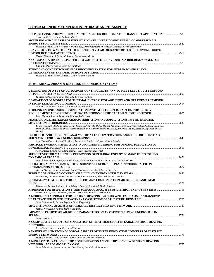## **POSTER 14. ENERGY CONVERSION, STORAGE AND TRANSPORT**

| DEEP FREEZING THERMOCHEMICAL STORAGE FOR REFRIGERATED TRANSPORT APPLICATIONS  2535                  |      |
|-----------------------------------------------------------------------------------------------------|------|
| Aleix Pubill, Driss Stitou, Nathalie Mazet                                                          |      |
| MODELING AND ANALYSIS OF ENERGY FLOW IN A HYBRID WIND-DIESEL-COMPRESSED AIR                         |      |
|                                                                                                     |      |
| Hussein Ibrahim, Daniel Rousse, Adrian Ilinca, Drishty Ramdennee, Ambrish Chandra, Karim Belmokhtar |      |
| CONVERSION OF WASTE HEAT TO ELECTRICITY: CARTOGRAPHY OF POSSIBLE CYCLES DUE TO                      |      |
|                                                                                                     |      |
| Nicolas Tauveron, Stéphane Colasson, Jean-Antoine Gruss                                             |      |
| ANALYSIS OF A MICRO-DISPERSED PCM COMPOSITE BEHAVIOUR IN A BUILDING'S WALL FOR                      |      |
|                                                                                                     | 2576 |
| Kamal El Omari, Yves Le Guer, Pascal Bruel                                                          |      |
| STUDY AND CONCEPTION OF HEAT RECOVERY SYSTEM FOR HYBRID POWER PLANT -                               |      |
|                                                                                                     | 2590 |
| Hussein Ibrahim, Hakim Chabour, Daniel Rousse, A Ilinca                                             |      |

## **15. BUILDING, URBAN & DISTRIBUTED ENERGY SYSTEMS**

| UTILISATION OF A SET OF DG SOURCES CONTROLLED BY ANN TO MEET ELECTRICITY DEMAND                                                                                                                                                                                       |       |
|-----------------------------------------------------------------------------------------------------------------------------------------------------------------------------------------------------------------------------------------------------------------------|-------|
|                                                                                                                                                                                                                                                                       |       |
| Lukasz Szablowski, Jaroslaw Milewski, Krzysztof Badyda                                                                                                                                                                                                                |       |
| <b>COMPARISON OF MODELS FOR THERMAL ENERGY STORAGE UNITS AND HEAT PUMPS IN MIXED</b>                                                                                                                                                                                  |       |
|                                                                                                                                                                                                                                                                       |       |
| Thomas Schütz, Hassan Harb, Rita Streblow, Dirk Müller                                                                                                                                                                                                                |       |
| STIRLING ENGINE BASED COGENERATION SYSTEM RETROFIT IMPACT ON THE ENERGY                                                                                                                                                                                               |       |
|                                                                                                                                                                                                                                                                       |       |
| Ismet Ugursal, Rasoul Asaee, Ian Beausoleil-Morrison                                                                                                                                                                                                                  |       |
| PHASE CHANGE MATERIALS CHARACTERISATION AND APPLICATIONS TO THE THERMAL                                                                                                                                                                                               |       |
|                                                                                                                                                                                                                                                                       |       |
| Erwin Franquet, Stéphane Gibout, Jean-Pierre Bédécarrats, Didier Haillot, William Maréchal, Frédéric Kuznik, Kevyn Johannes,<br>Damien David, Laurent Zalewski, Pierre Tittelein, Didier Defer, Stéphane Lassue, Annabelle Joulin, Hassane Naji, Jean-Pierre<br>Dumas |       |
| ENERGETIC AND EXERGETIC ANALYSIS OF A LOW-TEMPERATURE BASED DISTRICT HEATING                                                                                                                                                                                          |       |
|                                                                                                                                                                                                                                                                       |       |
| José Castro Flores, Justin Chiu, Bruno Lacarrière, Olivier Le Corre, Viktoria Martin                                                                                                                                                                                  |       |
| PARTICLE SWARM OPTIMIZATION AND KALMAN FILTERING FOR DEMAND PREDICTION OF                                                                                                                                                                                             |       |
|                                                                                                                                                                                                                                                                       |       |
| Araz Ashouri, Samira Fazlollahi, Michael Benz, François Maréchal                                                                                                                                                                                                      |       |
| SUPPORT VECTOR MACHINE IN PREDICTION OF BUILDING ENERGY DEMAND USING PSEUDO                                                                                                                                                                                           |       |
| Subodh Paudel, Phuong Nguyen, Wil Kling, Mohamed Elmtiri, Bruno Lacarrière, Olivier Le Corre                                                                                                                                                                          |       |
| OPERATIONAL MANAGEMENT OF RESIDENTIAL ENERGY SUPPLY NETWORKS BASED ON                                                                                                                                                                                                 |       |
|                                                                                                                                                                                                                                                                       |       |
| Tetsuya Wakui, Hiroki Kawayoshi, Ryohei Yokoyama, Hiroshi Iitaka, Hirohisa Aki                                                                                                                                                                                        |       |
|                                                                                                                                                                                                                                                                       |       |
| Max Huber, Sebastian Brust, Thomas Schütz, Ana Constantin, Rita Streblow, Dirk Müller                                                                                                                                                                                 |       |
| OPTIMAL SYSTEM DESIGN FOR END-USERS AND COMPONENTS IN MICROGRIDS AND SMART                                                                                                                                                                                            |       |
|                                                                                                                                                                                                                                                                       |       |
| Ramanunni Parakkal Menon, Araz Ashouri, François Maréchal, Mario Paolone                                                                                                                                                                                              |       |
| APPROACH FOR SIMULATION-BASED SCENARIO ANALYSES OF DISTRICT ENERGY SYSTEMS 2713                                                                                                                                                                                       |       |
| Marcus Fuchs, Jens Teichmann, Moritz Lauster, Rita Streblow, Dirk Müller                                                                                                                                                                                              |       |
| A MODELLING APPROACH FOR DISTRICT HEATING SYSTEMS WITH EMPHASIS ON TRANSIENT                                                                                                                                                                                          |       |
|                                                                                                                                                                                                                                                                       |       |
| Soma Mohammadi, Carsten Bojesen, Mads Vinge Muff                                                                                                                                                                                                                      |       |
|                                                                                                                                                                                                                                                                       |       |
| Mattias Vesterlund, Andrea Toffolo, Jan Dahl                                                                                                                                                                                                                          |       |
| IMPACT OF PASSIVE SOLAR DESIGN PARAMETERS ON AN OFFICE BUILDING ENERGY USE IN                                                                                                                                                                                         |       |
|                                                                                                                                                                                                                                                                       |       |
| Sanja Stevanovic                                                                                                                                                                                                                                                      |       |
| A COMPARATIVE STUDY FOR SIMULATION OF HEAT TRANSPORT IN LARGE DISTRICT HEATING                                                                                                                                                                                        |       |
|                                                                                                                                                                                                                                                                       |       |
| Kévin Sartor, Pierre Dewallef, David Thomas                                                                                                                                                                                                                           |       |
| KEY ENERGY AND TECHNOLOGICAL ASPECTS OF THREE INNOVATIVE CONCEPTS OF DISTRICT                                                                                                                                                                                         |       |
|                                                                                                                                                                                                                                                                       |       |
| Samuel Henchoz, Daniel Favrat, Patrick Chatelan, Fracois Marechal                                                                                                                                                                                                     |       |
| A MINLP OPTIMIZATION OF THE CONFIGURATION AND THE DESIGN OF A DISTRICT HEATING                                                                                                                                                                                        |       |
|                                                                                                                                                                                                                                                                       | .2787 |

*Theophile Mertz, Sylvain Serra, Aurélien Henon, Jean-Michel Reneaume*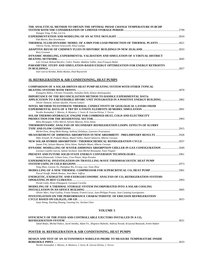| THE ANALYTICAL METHOD TO OBTAIN THE OPTIMAL PHASE CHANGE TEMPERATURE IN BCHP    | 2799 |
|---------------------------------------------------------------------------------|------|
| Xiaoguo Teng, Yi Bai, Lei Liu                                                   |      |
|                                                                                 | 2810 |
| Fält Martin, Ron Zevenhoven                                                     |      |
| THERMAL FLUID-DYNAMIC MODEL OF A DHN FOR LOAD PREDICTION OF THERMAL PLANTS 2821 |      |
| Vittorio Verda, Adriano Sciacovelli, Elisa Guelpa                               |      |
|                                                                                 |      |
| Rory Greenan                                                                    |      |
| DYNAMIC MODELING, EXPERIMENTAL VALIDATION AND SIMULATION OF A VIRTUAL DISTRICT  |      |
|                                                                                 | 2845 |
| Loïc Giraud, Roland Bavière, Cédric Paulus, Mathieu Vallée, Jean-Francois Robin |      |
| PARAMETRIC STUDY AND SIMULATION-BASED EXERGY OPTIMIZATION FOR ENERGY RETROFITS  |      |
| IN BUILDINGS                                                                    | 2857 |
| Ivan Garcia Kerdan, Rokia Raslan, Paul Ruyssevelt                               |      |

## **16. REFRIGERATION & AIR CONDITIONING, HEAT PUMPS**

| <b>COMPARISON OF A SOLAR-DRIVEN HEAT PUMP HEATING SYSTEM WITH OTHER TYPICAL</b>                           |       |
|-----------------------------------------------------------------------------------------------------------|-------|
|                                                                                                           | .2870 |
| Evangelos Bellos, Christos Tzivanidis, Asimakis Delis, Kimon Antonopoulos                                 |       |
| <b>IMPORTANCE OF THE RECONCILIATION METHOD TO HANDLE EXPERIMENTAL DATA:</b>                               |       |
| APPLICATION TO A REVERSIBLE HP/ORC UNIT INTEGRATED IN A POSITIVE ENERGY BUILDING                          | .2882 |
| Olivier Dumont, Sylvain Quoilin, Vincent Lemort                                                           |       |
| NOVEL METHOD TO ESTIMATE THERMAL CONDUCTIVITY OF GEOLOGICAL LAYERS FROM                                   |       |
|                                                                                                           |       |
| Nordin Aranzabal, J. Martos, A. Montero, J. Soret, R. Garcia-Olcina, J. Torres                            |       |
| SOLAR THERMO-HYDRAULIC ENGINE FOR COMBINED HEAT, COLD AND ELECTRICITY                                     |       |
|                                                                                                           | .2903 |
| Rémy Borgogno, Gilles Marck, Sylvain Mauran, Driss Stitou                                                 |       |
| THERMODYNAMIC ANALYSIS OF SECONDARY REFRIGERATION LOOPS: EFFECTS OF SLURRY                                |       |
|                                                                                                           | 2915  |
| Michel Pons, Hong-Minh Hoang, Anthony Delahaye, Laurence Fournaison                                       |       |
| Hifni Ariyadi, M. Prakash Maiya, Manel Valles, Daniel Salavera, Alberto Coronas                           |       |
|                                                                                                           |       |
| Jaume Fitó, Sylvain Mauran, Driss Stitou, Nathalie Mazet, Alberto Coronas                                 |       |
| DYNAMIC MODELLING OF WATER-AMMONIA ABSORPTION CHILLER IN GAX CONFIGURATION                                | .2949 |
| Lorenzo Castillo Garcia, Sabine Sochard, Jean-Michel Reneaume, Yann Vitupier                              |       |
|                                                                                                           |       |
| Andrej Kitanovski, Urbam Tomc, Uros Plazni, Alojz Poredos                                                 |       |
| <b>EXPERIMENTAL INVESTIGATION ON TRAVELLING-WAVE THERMOACOUSTIC HEAT PUMP</b>                             |       |
|                                                                                                           |       |
| Yang Zhao, Guoyao Yu, Zhanghua Wu, Ercang, Luo, Yuan Zhou                                                 |       |
|                                                                                                           |       |
| Pascal Stouffs, Rabah Ibsaine, Jean-Marc Joffroy                                                          |       |
| ENERGETIC, EXERGETIC AND EXERGOECONOMIC ANALYSIS OF CO2 REFRIGERATION SYSTEMS                             |       |
|                                                                                                           | .2993 |
| Paride Gullo, Brian Elmegaard, Giovanni Cortella                                                          |       |
| MODELING OF A THERMAL STORAGE SYSTEM INCORPORATED INTO A SOLAR COOLING                                    |       |
|                                                                                                           | 3005  |
| Olivier Marc, Paul Guillou, Frantz Sinama, Franck Lucas, Jean-Philippe Preane, Jean Castaing-Lasvignottes |       |
| <b>INVESTIGATION ON THE PERFORMANCE CHARACTERISTIC OF ERICSSON REFRIGERATION</b>                          |       |
|                                                                                                           |       |

*Junyi Wang, Xiaoling Zhuang, Guoxing Lin, Jinchan Chen* 

## **VOLUME 5**

| EFFICIENCY OF THE FIXED AND CONTROLLABLE EJECTORS INSTALLED IN A CO.                                                   |      |
|------------------------------------------------------------------------------------------------------------------------|------|
|                                                                                                                        | 3021 |
| Jakub Bodys, Michal Palacz, Jacek Smolka, Adam Fic, Zbigniew Bulinski, Andrzej Nowak, Krzysztof Banasiak, Armin Hafner |      |
| <b>DOCUMB 47 BEERICED LEIGH A LIB CONDITIONING IIB LE BIB CO.</b>                                                      |      |

#### **POSTER 16. REFRIGERATION & AIR CONDITIONING, HEAT PUMPS**

## **DESIGN AND TEST OF AN AUTONOMOUS WIRELESS PROBE TO MEASURE TEMPERATURE INSIDE BOREHOLE PIPES**.....................................................................................................................................................................................3033

*Nordin Aranzabal, J. Martos, A. Montero, J. Soret, R. Garcia-Olcina, J. Torres*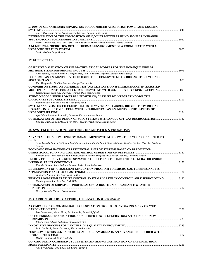| STUDY OF OIL / AMMONIA SEPARATION FOR COMBINED ABSORPTION POWER AND COOLING                   |      |
|-----------------------------------------------------------------------------------------------|------|
|                                                                                               | 3041 |
| James Muye, Joan Carles Bruno, Alberto Coronas, Rajagopal Saravanan                           |      |
| DETERMINATION OF THE COMPOSITION OF H <sub>2</sub> O/LIBR MIXTURES USING SW-NEAR INFRARED     |      |
|                                                                                               |      |
| María Isabel Barba, José Luis Labra, Daniel Salavera, María Soledad Larrechi, Alberto Coronas |      |
| A NUMERICAL PREDICTION OF THE THERMAL ENVIRONMENT OF A ROOM HEATED WITH A                     |      |
|                                                                                               |      |
| Samir Moujaes, Satya Gurram                                                                   |      |

## **17. FUEL CELLS**

| <b>OBJECTIVE VALIDATION OF THE MATHEMATICAL MODELS FOR THE NON-EQUILIBRIUM</b>                                                                                            |      |
|---------------------------------------------------------------------------------------------------------------------------------------------------------------------------|------|
|                                                                                                                                                                           | 3073 |
| Anna Sciazko, Yosuke Komatsu, Grzegorz Brus, Shinji Kimijima, Zygmunt Kolenda, Janusz Szmyd                                                                               |      |
| ECONOMIC ASSESSMENT OF A SOLID OXIDE FUEL CELL SYSTEM FOR BIOGAS UTILIZATION IN                                                                                           |      |
|                                                                                                                                                                           | 3085 |
| Karl Hauptmeier, Mathias Penkuhn, George Tsatsaronis                                                                                                                      |      |
| <b>COMPARISON STUDY ON DIFFERENT ITM (OXYGEN ION TRANSFER MEMBRANE)-INTEGRATED</b>                                                                                        |      |
| <b>MOLTEN CARBONATE FUEL CELL HYBRID SYSTEMS WITH CO, RECOVERY USING SWEEP GAS3098</b>                                                                                    |      |
| Ligiang Duan, Long Yue, Chao Gao, Wanjun Qu, Yongping Yang                                                                                                                |      |
| STUDY ON COAL-FIRED POWER PLANT WITH CO <sub>2</sub> CAPTURE BY INTEGRATING MOLTEN                                                                                        |      |
|                                                                                                                                                                           | 3111 |
| Ligiang Duan, Kun Xia, Long Yue, Yongping Yang                                                                                                                            |      |
| SYSTEM ANALYSIS FOR CO-ELECTROLYSIS OF WATER AND CARBON DIOXIDE FROM BIOGAS                                                                                               |      |
| UPGRADE IN SOLID OXIDE CELL, WITH EXPERIMENTAL ASSESSMENT OF THE EFFECTS OF                                                                                               |      |
|                                                                                                                                                                           | 3124 |
| Aga Zeleke, Massimo Santarelli, Domenico Ferrero, Andrea Lanzini                                                                                                          |      |
| <b>OPTIMIZATION OF THE DESIGN OF SOFC SYSTEMS WITH ANODE OFF-GAS RECIRCULATION</b> 3137<br>Vaibhav Singh, Isha Shukla, Jan Van Herle, Zacharie Wuillemin, Stefan Diethelm |      |
|                                                                                                                                                                           |      |

#### **18. SYSTEM OPERATION, CONTROL, DIAGNOSTICS & PROGNOSIS**

#### **ADVANTAGE OF A HOME ENERGY MANAGEMENT SYSTEM FOR PV UTILIZATION CONNECTED TO**

| Akira Yoshida, Shinya Yoshizawa, Yu Fujimoto, Noboru Murata, Shinji Wakao, Shin-ichi Tanabe, Yasuhiro Hayashi, Yoshiharu |      |
|--------------------------------------------------------------------------------------------------------------------------|------|
| Amano                                                                                                                    |      |
| <b>ECONOMIC EVALUATIONS OF RESIDENTIAL ENERGY SYSTEMS BASED ON PREDICTION-</b>                                           |      |
|                                                                                                                          |      |
| Ryohei Ogata, Akira Yoshida, Yu Fujimoto, Noboru Murata, Shinji Wakao, Shin-ichi Tanabe, Yoshiharu Amano                 |      |
| ENERGY EFFICIENCY ON-SITE ESTIMATION OF SELF-EXCITED INDUCTION GENERATOR UNDER                                           |      |
|                                                                                                                          | 3172 |
| Victoria Herrera. Jesus Andrade Romero. Javier Andrade-Romero                                                            |      |
| DEVELOPMENT OF A TRANSIENT SIMULATION PROGRAM FOR MICRO GAS TURBINES AND ITS                                             |      |
|                                                                                                                          | 3184 |
| Tong Seop Kim, Min Jae Kim, Jeong Ho Kim                                                                                 |      |
| TEST OF ROOM TEMPERATURE CONTROL SYSTEMS IN A FULLY CONTROLLABLE SURROUNDING 3196                                        |      |
| Nina Kopmann, Rita Streblow, Dirk Müller                                                                                 |      |
| <b>OPTIMIZATION OF SHIP SPEED PROFILE ALONG A ROUTE UNDER VARIABLE WEATHER</b>                                           |      |
|                                                                                                                          |      |
|                                                                                                                          |      |

*George Tzortzis, Christos Frangopoulos* 

## **19. CARBON DIOXIDE CAPTURE, UTILIZATION & STORAGE**

| A COMPARISON OF CO2 MINERAL SEQUESTRATION PROCESSES INVOLVING A DRY OR WET                |        |
|-------------------------------------------------------------------------------------------|--------|
|                                                                                           | 3221   |
| Ron Zevenhoven, Martin Slotte, Jacob Åbacka, James Highfield                              |        |
| CO <sub>2</sub> EMISSIONS REDUCTION FROM COAL-FIRED POWER GENERATION: A TECHNO-ECONOMIC   |        |
|                                                                                           |        |
| Vittorio Tola, Alberto Pettinau, Francesca Ferrara                                        |        |
|                                                                                           | - 3245 |
| Lidia Lombardi, Ennio Carnevale, Alessandro Paradisi                                      |        |
| POST-COMBUSTION CO2 CAPTURE BY AQUEOUS AMMONIA IN AN ADVANCED IGCC FIRED WITH             |        |
|                                                                                           | 3254   |
| Davide Bonalumi, Antonio Giuffrida                                                        |        |
| CO <sub>2</sub> CAPTURE IN COMBINED CYCLES WITH AIR-BLOWN GASIFICATION OF PRE-DRIED HIGH- |        |
|                                                                                           | 3266   |
| Antonio Giuffrida, Stefania Moioli, Laura Pellegrini                                      |        |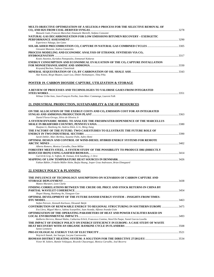| MULTI-OBJECTIVE OPTIMIZATION OF A SELEXOL® PROCESS FOR THE SELECTIVE REMOVAL OF                                                                     |  |
|-----------------------------------------------------------------------------------------------------------------------------------------------------|--|
| Manuele Gatti, Francois Marechal, Emanuele Martelli, Stefano Consonni<br>NATURAL GAS DECARBONIZATION FOR LOW EMISSIONS BITUMEN RECOVERY – EXERGETIC |  |
|                                                                                                                                                     |  |
| Experience Nduagu, Ian Gates                                                                                                                        |  |
| Giovanni Manente, Andrea Lazzaretto                                                                                                                 |  |
| PROCESS MODELING AND ECONOMIC ANALYSIS OF ETHANOL SYNTHESIS VIA CO2                                                                                 |  |
| Kostis Atsonios, Kyriakos Panopoulos, Emmanuel Kakaras                                                                                              |  |
| ENERGY CONSUMPTION AND ECONOMICAL EVALUATION OF THE CO2 CAPTURE INSTALLATION                                                                        |  |
| Krzysztof Bochon, Tadeusz Chmielniak                                                                                                                |  |
| Alar Konist, Birgit Maaten, Lauri Loo, Dmitri Neshumayev, Tõnu Pihu                                                                                 |  |
| POSTER 19. CARBON DIOXIDE CAPTURE, UTILIZATION & STORAGE                                                                                            |  |
| A REVIEW OF PROCESSES AND TECHNOLOGIES TO VALORISE GASES FROM INTEGRATED                                                                            |  |
| Wilmar Uribe-Soto, Jean-François Portha, Jean-Marc Commenge, Laurent Falk                                                                           |  |
| <u> 21. INDUSTRIAL PRODUCTION, SUSTAINABILITY &amp; USE OF RESOURCES</u>                                                                            |  |
| ON THE ALLOCATION OF THE EXERGY COSTS AND CO <sub>2</sub> EMISSION COST FOR AN INTEGRATED                                                           |  |
| Daniel Florez-Orrego, Silvio de Oliveira Jr                                                                                                         |  |
| A SYSTEM DYNAMIC MODEL TO ANALYZE THE FRESHWATER DEPENDENCE OF THE MARCELLUS                                                                        |  |
| Huajiao Li, Haizhong An, Andrew Kleit, Li Li, Meng Jiang                                                                                            |  |
| THE FACTORY OF THE FUTURE: TWO CASESTUDIES TO ILLUSTRATE THE FUTURE ROLE OF                                                                         |  |
| Sarah Debler, Marc Berthou, Susanne Palm, Aubry Remi                                                                                                |  |
| OPTIMAL DESIGN AND CONTROL OF WIND-DIESEL HYBRID ENERGY SYSTEMS FOR REMOTE                                                                          |  |
| Alberto Romero, Monica Carvalho, Dean Millar                                                                                                        |  |
| FORESTRY MEETS STEEL. A SYSTEM STUDY OF THE POSSIBILITY TO PRODUCE DRI (DIRECTLY                                                                    |  |
| Carl-Erik Grip, A. Toffolo, M. Ostman, Erik Sandberg, J. Orre                                                                                       |  |
| Fabian Bühler, Fridolin Müller Holm, Baijia Huang, Jesper Graa Andreasen, Brian Elmegaard                                                           |  |
| 22. ENERGY POLICY & PLANNING                                                                                                                        |  |
|                                                                                                                                                     |  |
| THE INFLUENCE OF TECHNOLOGY ASSUMPTIONS ON SCENARIOS OF CARBON CAPTURE AND                                                                          |  |
| Matteo Muratori, Leon Clarke                                                                                                                        |  |
| FINDING CORRELATIONS BETWEEN THE CRUDE OIL PRICE AND STOCK RETURNS IN CHINA BY                                                                      |  |
| Shupei Huang, Haizhong An, Xiangyun Gao                                                                                                             |  |
| OPTIMAL DEVELOPMENT OF THE FUTURE DANISH ENERGY SYSTEM – INSIGHTS FROM TIMES-                                                                       |  |
| Stefan Petrovic, Kenneth Karlsson, Olexandr Balyk                                                                                                   |  |
|                                                                                                                                                     |  |

| CONTRIBUTION OF RENEWABLE ENERGY TO REGIONAL STRUCTURING IN SOUTHERN EUROPE  3475                          |  |
|------------------------------------------------------------------------------------------------------------|--|
| Eva Llera, Miguel Marco, Sabina Scarpellini, Juan Aranda, Alfonso Aranda-Usón                              |  |
| OPTIMIZATION OF THE OPERATING PARAMETERS OF HEAT AND POWER FACILITIES BASED ON                             |  |
|                                                                                                            |  |
| Idalberto Herrera, Manuel Rubio, Catharina Erlich, Francesco Contino, Ward De Paepe, Yaniel Garcia Lovella |  |
| THE IMPACT OF ENERGY POLICY ON ENERGY EFFICIENCY IN EUROPE: A CASE STUDY OF WASTE                          |  |
|                                                                                                            |  |
| Sanne Lemmens                                                                                              |  |
|                                                                                                            |  |
| Wojciech Stanek, Jan Szargut, Lucyna Czarnowska                                                            |  |
| BIOMASS DISTRICT HEATING SYSTEM: A SOLUTION FOR THE DIRECTIVE 27/2012/EU ………………………………………………………………………       |  |
|                                                                                                            |  |

*Víctor M. Soltero, Ramón Velázquez, Ricardo Chacartegui, Monica Carvalho, José Becerra*